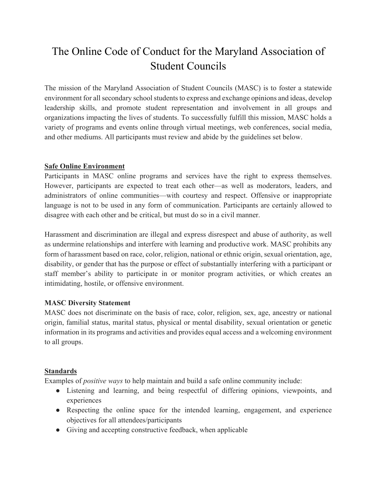# The Online Code of Conduct for the Maryland Association of Student Councils

The mission of the Maryland Association of Student Councils (MASC) is to foster a statewide environment for all secondary school students to express and exchange opinions and ideas, develop leadership skills, and promote student representation and involvement in all groups and organizations impacting the lives of students. To successfully fulfill this mission, MASC holds a variety of programs and events online through virtual meetings, web conferences, social media, and other mediums. All participants must review and abide by the guidelines set below.

## **Safe Online Environment**

Participants in MASC online programs and services have the right to express themselves. However, participants are expected to treat each other—as well as moderators, leaders, and administrators of online communities—with courtesy and respect. Offensive or inappropriate language is not to be used in any form of communication. Participants are certainly allowed to disagree with each other and be critical, but must do so in a civil manner.

Harassment and discrimination are illegal and express disrespect and abuse of authority, as well as undermine relationships and interfere with learning and productive work. MASC prohibits any form of harassment based on race, color, religion, national or ethnic origin, sexual orientation, age, disability, or gender that has the purpose or effect of substantially interfering with a participant or staff member's ability to participate in or monitor program activities, or which creates an intimidating, hostile, or offensive environment.

## **MASC Diversity Statement**

MASC does not discriminate on the basis of race, color, religion, sex, age, ancestry or national origin, familial status, marital status, physical or mental disability, sexual orientation or genetic information in its programs and activities and provides equal access and a welcoming environment to all groups.

## **Standards**

Examples of *positive ways* to help maintain and build a safe online community include:

- Listening and learning, and being respectful of differing opinions, viewpoints, and experiences
- Respecting the online space for the intended learning, engagement, and experience objectives for all attendees/participants
- Giving and accepting constructive feedback, when applicable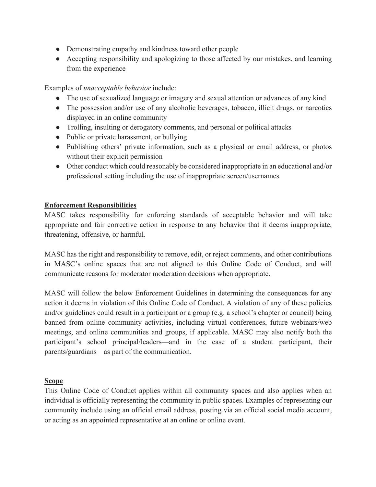- Demonstrating empathy and kindness toward other people
- Accepting responsibility and apologizing to those affected by our mistakes, and learning from the experience

Examples of *unacceptable behavior* include:

- The use of sexualized language or imagery and sexual attention or advances of any kind
- The possession and/or use of any alcoholic beverages, tobacco, illicit drugs, or narcotics displayed in an online community
- Trolling, insulting or derogatory comments, and personal or political attacks
- Public or private harassment, or bullying
- Publishing others' private information, such as a physical or email address, or photos without their explicit permission
- Other conduct which could reasonably be considered inappropriate in an educational and/or professional setting including the use of inappropriate screen/usernames

# **Enforcement Responsibilities**

MASC takes responsibility for enforcing standards of acceptable behavior and will take appropriate and fair corrective action in response to any behavior that it deems inappropriate, threatening, offensive, or harmful.

MASC has the right and responsibility to remove, edit, or reject comments, and other contributions in MASC's online spaces that are not aligned to this Online Code of Conduct, and will communicate reasons for moderator moderation decisions when appropriate.

MASC will follow the below Enforcement Guidelines in determining the consequences for any action it deems in violation of this Online Code of Conduct. A violation of any of these policies and/or guidelines could result in a participant or a group (e.g. a school's chapter or council) being banned from online community activities, including virtual conferences, future webinars/web meetings, and online communities and groups, if applicable. MASC may also notify both the participant's school principal/leaders—and in the case of a student participant, their parents/guardians—as part of the communication.

## **Scope**

This Online Code of Conduct applies within all community spaces and also applies when an individual is officially representing the community in public spaces. Examples of representing our community include using an official email address, posting via an official social media account, or acting as an appointed representative at an online or online event.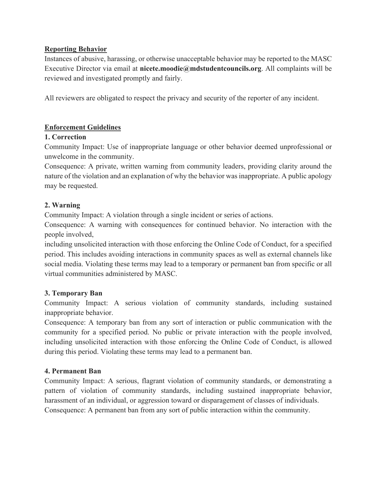## **Reporting Behavior**

Instances of abusive, harassing, or otherwise unacceptable behavior may be reported to the MASC Executive Director via email at **nicete.moodie@mdstudentcouncils.org**. All complaints will be reviewed and investigated promptly and fairly.

All reviewers are obligated to respect the privacy and security of the reporter of any incident.

## **Enforcement Guidelines**

## **1. Correction**

Community Impact: Use of inappropriate language or other behavior deemed unprofessional or unwelcome in the community.

Consequence: A private, written warning from community leaders, providing clarity around the nature of the violation and an explanation of why the behavior was inappropriate. A public apology may be requested.

## **2. Warning**

Community Impact: A violation through a single incident or series of actions.

Consequence: A warning with consequences for continued behavior. No interaction with the people involved,

including unsolicited interaction with those enforcing the Online Code of Conduct, for a specified period. This includes avoiding interactions in community spaces as well as external channels like social media. Violating these terms may lead to a temporary or permanent ban from specific or all virtual communities administered by MASC.

## **3. Temporary Ban**

Community Impact: A serious violation of community standards, including sustained inappropriate behavior.

Consequence: A temporary ban from any sort of interaction or public communication with the community for a specified period. No public or private interaction with the people involved, including unsolicited interaction with those enforcing the Online Code of Conduct, is allowed during this period. Violating these terms may lead to a permanent ban.

## **4. Permanent Ban**

Community Impact: A serious, flagrant violation of community standards, or demonstrating a pattern of violation of community standards, including sustained inappropriate behavior, harassment of an individual, or aggression toward or disparagement of classes of individuals. Consequence: A permanent ban from any sort of public interaction within the community.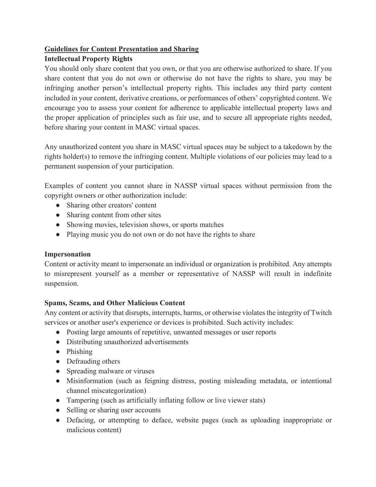# **Guidelines for Content Presentation and Sharing**

# **Intellectual Property Rights**

You should only share content that you own, or that you are otherwise authorized to share. If you share content that you do not own or otherwise do not have the rights to share, you may be infringing another person's intellectual property rights. This includes any third party content included in your content, derivative creations, or performances of others' copyrighted content. We encourage you to assess your content for adherence to applicable intellectual property laws and the proper application of principles such as fair use, and to secure all appropriate rights needed, before sharing your content in MASC virtual spaces.

Any unauthorized content you share in MASC virtual spaces may be subject to a takedown by the rights holder(s) to remove the infringing content. Multiple violations of our policies may lead to a permanent suspension of your participation.

Examples of content you cannot share in NASSP virtual spaces without permission from the copyright owners or other authorization include:

- Sharing other creators' content
- Sharing content from other sites
- Showing movies, television shows, or sports matches
- Playing music you do not own or do not have the rights to share

# **Impersonation**

Content or activity meant to impersonate an individual or organization is prohibited. Any attempts to misrepresent yourself as a member or representative of NASSP will result in indefinite suspension.

# **Spams, Scams, and Other Malicious Content**

Any content or activity that disrupts, interrupts, harms, or otherwise violates the integrity of Twitch services or another user's experience or devices is prohibited. Such activity includes:

- Posting large amounts of repetitive, unwanted messages or user reports
- Distributing unauthorized advertisements
- Phishing
- Defrauding others
- Spreading malware or viruses
- Misinformation (such as feigning distress, posting misleading metadata, or intentional channel miscategorization)
- Tampering (such as artificially inflating follow or live viewer stats)
- Selling or sharing user accounts
- Defacing, or attempting to deface, website pages (such as uploading inappropriate or malicious content)